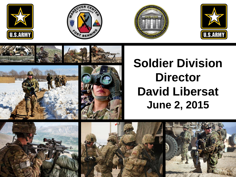















# **Soldier Division Director David Libersat June 2, 2015**





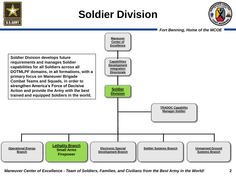

## **Soldier Division**



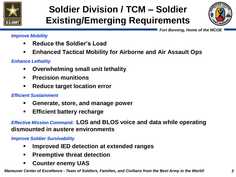

## **Soldier Division / TCM – Soldier Existing/Emerging Requirements**



 *Fort Benning, Home of the MCOE* 

#### *Improve Mobility*

- **Reduce the Soldier's Load**
- **Enhanced Tactical Mobility for Airborne and Air Assault Ops**

#### *Enhance Lethality*

- **Overwhelming small unit lethality**
- **Precision munitions**
- **Reduce target location error**

#### *Efficient Sustainment*

- **Generate, store, and manage power**
- **Efficient battery recharge**

### *Effective Mission Command:* **LOS and BLOS voice and data while operating dismounted in austere environments**

*Improve Soldier Survivability*

- **Improved IED detection at extended ranges**
- **Preemptive threat detection**
- **Counter enemy UAS**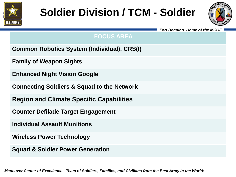

# **Soldier Division / TCM - Soldier**



 *Fort Benning, Home of the MCOE* 

### **FOCUS AREA**

- **Common Robotics System (Individual), CRS(I)**
- **Family of Weapon Sights**
- **Enhanced Night Vision Google**
- **Connecting Soldiers & Squad to the Network**
- **Region and Climate Specific Capabilities**
- **Counter Defilade Target Engagement**
- **Individual Assault Munitions**
- **Wireless Power Technology**
- **Squad & Soldier Power Generation**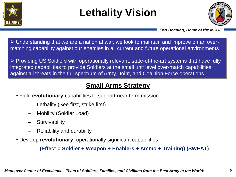

# **Lethality Vision**



 *Fort Benning, Home of the MCOE* 

 Understanding that we are a nation at war, we look to maintain and improve on an overmatching capability against our enemies in all current and future operational environments

 Providing US Soldiers with operationally relevant, state-of-the-art systems that have fully integrated capabilities to provide Soldiers at the small unit level over-match capabilities against all threats in the full spectrum of Army, Joint, and Coalition Force operations.

### **Small Arms Strategy**

- Field **evolutionary** capabilities to support near term mission
	- Lethality (See first, strike first)
	- Mobility (Soldier Load)
	- **Survivability**
	- Reliability and durability
- Develop **revolutionary,** operationally significant capabilities

**(Effect = Soldier + Weapon + Enablers + Ammo + Training) (SWEAT)**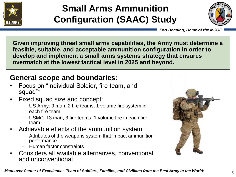

## **Small Arms Ammunition Configuration (SAAC) Study**



 *Fort Benning, Home of the MCOE* 

**Given improving threat small arms capabilities, the Army must determine a feasible, suitable, and acceptable ammunition configuration in order to develop and implement a small arms systems strategy that ensures overmatch at the lowest tactical level in 2025 and beyond.**

### **General scope and boundaries:**

- Focus on "Individual Soldier, fire team, and squad"\*
- Fixed squad size and concept:
	- US Army: 9 man, 2 fire teams, 1 volume fire system in each fire team
	- USMC: 13 man, 3 fire teams, 1 volume fire in each fire team
- Achievable effects of the ammunition system
	- Attributes of the weapons system that impact ammunition performance
	- Human factor constraints
- Considers all available alternatives, conventional and unconventional

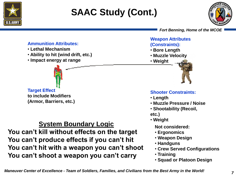

## **SAAC Study (Cont.)**



 *Fort Benning, Home of the MCOE* 

#### **Ammunition Attributes:**

- **Lethal Mechanism**
- **Ability to hit (wind drift, etc.)**
- **Impact energy at range**

### **Target Effect to include Modifiers**

**(Armor, Barriers, etc.)**

### **System Boundary Logic**

**You can't kill without effects on the target You can't produce effects if you can't hit You can't hit with a weapon you can't shoot You can't shoot a weapon you can't carry**

#### **Weapon Attributes (Constraints):**

- **Bore Length**
- **Muzzle Velocity**
- **Weight**



#### **Shooter Constraints:**

- **Length**
- **Muzzle Pressure / Noise**
- **Shootability (Recoil,**
- **etc.)**
- **Weight**

**Not considered:**

- **Ergonomics**
- **Weapon Design**
- **Handguns**
- **Crew Served Configurations**
- **Training**
- **Squad or Platoon Design**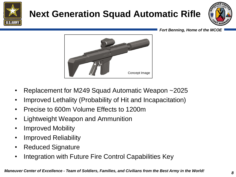

## **Next Generation Squad Automatic Rifle**



 *Fort Benning, Home of the MCOE* 



- Replacement for M249 Squad Automatic Weapon ~2025
- Improved Lethality (Probability of Hit and Incapacitation)
- Precise to 600m Volume Effects to 1200m
- Lightweight Weapon and Ammunition
- Improved Mobility
- Improved Reliability
- Reduced Signature
- Integration with Future Fire Control Capabilities Key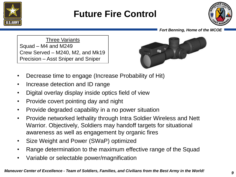

## **Future Fire Control**



#### *Fort Benning, Home of the MCOE*

Three Variants Squad – M4 and M249 Crew Served – M240, M2, and Mk19 Precision – Asst Sniper and Sniper



- Decrease time to engage (Increase Probability of Hit)
- Increase detection and ID range
- Digital overlay display inside optics field of view
- Provide covert pointing day and night
- Provide degraded capability in a no power situation
- Provide networked lethality through Intra Soldier Wireless and Nett Warrior. Objectively, Soldiers may handoff targets for situational awareness as well as engagement by organic fires
- Size Weight and Power (SWaP) optimized
- Range determination to the maximum effective range of the Squad
- Variable or selectable power/magnification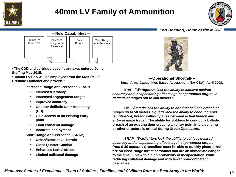

### **40mm LV Family of Ammunition**



#### *Fort Benning, Home of the MCOE*



**---Operational Shortfall--- Small Arms Capabilities Based Assessment (SA-CBA), April 2008.**

**IRAP-** *"Warfighters lack the ability to achieve desired accuracy and incapacitating effects against personnel targets in defilade at ranges out to 500 meters"***.** 

**DB-** *"Squads lack the ability to conduct ballistic breach at ranges up to 50 meters. Squads lack the ability to conduct rapid (single-shot) breach without pause between actual breach and entry of initial force"***. The ability for Soldiers to conduct a ballistic breach of an existing door creating an entry point into a building or other structure is critical during Urban Operations.** 

**SRAP-** *"Warfighters lack the ability to achieve desired accuracy and incapacitating effects against personnel targets from 0-50 meters"***. Grenadiers must be able to quickly place lethal fire on close range threat personnel that are an immediate danger to the small unit with a high probability of incapacitation, while reducing collateral damage and with fewer non-combatant casualties.** 

*Maneuver Center of Excellence - Team of Soldiers, Families, and Civilians from the Best Army in the World!*



• **The CDD and cartridge-specific annexes entered Joint Staffing May 2015.**

• **40mm LV FoA will be employed from the M203/M320 Grenade Launcher and provide :**

- **Increased Range Anti-Personnel (IRAP)** 
	- **Increased lethality**
	- **Increased engagement ranges**
	- **Improved accuracy**
	- **Counter defilade Door Breaching (DB)**
	- **Gain access to an existing entry point**
	- **Limit collateral damage**
	- **Accurate deployment**
- **Short-Range Anti-Personnel (SRAP)**
	- **Urban/Restrictive Terrain**
	- **Close Quarter Combat**
	- **Enhanced Lethal effects**
	- **Limited collateral damage**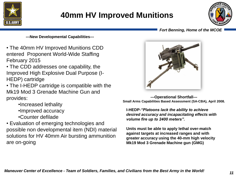

### **40mm HV Improved Munitions**



#### *Fort Benning, Home of the MCOE*

**---New Developmental Capabilities---**

- The 40mm HV Improved Munitions CDD entered Proponent World-Wide Staffing February 2015
- The CDD addresses one capability, the Improved High Explosive Dual Purpose (I-HEDP) cartridge
- The I-HEDP cartridge is compatible with the Mk19 Mod 3 Grenade Machine Gun and provides:
	- •Increased lethality
	- •Improved accuracy
	- •Counter defilade

• Evaluation of emerging technologies and possible non developmental item (NDI) material solutions for HV 40mm Air bursting ammunition are on-going



**---Operational Shortfall--- Small Arms Capabilities Based Assessment (SA-CBA), April 2008.**

**I-HEDP-***"Platoons lack the ability to achieve desired accuracy and incapacitating effects with volume fire up to 2400 meters".*

**Units must be able to apply lethal over-match against targets at increased ranges and with greater accuracy using the 40-mm high velocity Mk19 Mod 3 Grenade Machine gun (GMG)**